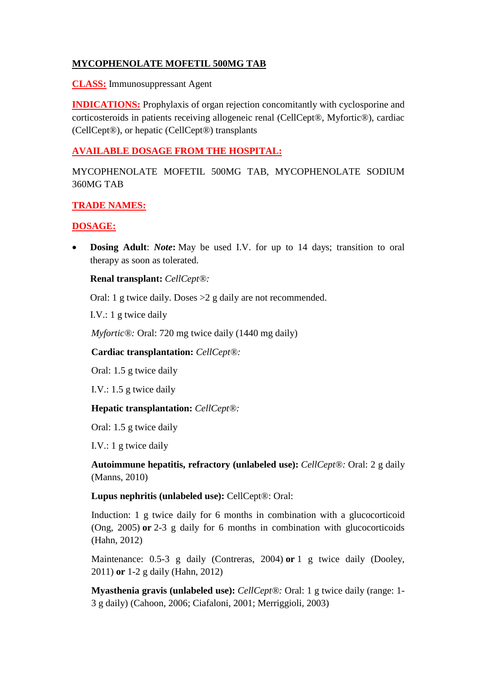# **MYCOPHENOLATE MOFETIL 500MG TAB**

**CLASS:** Immunosuppressant Agent

**INDICATIONS:** Prophylaxis of organ rejection concomitantly with cyclosporine and corticosteroids in patients receiving allogeneic renal (CellCept®, Myfortic®), cardiac (CellCept®), or hepatic (CellCept®) transplants

## **AVAILABLE DOSAGE FROM THE HOSPITAL:**

MYCOPHENOLATE MOFETIL 500MG TAB, MYCOPHENOLATE SODIUM 360MG TAB

## **TRADE NAMES:**

# **DOSAGE:**

**Dosing Adult:** *Note*: May be used I.V. for up to 14 days; transition to oral therapy as soon as tolerated.

## **Renal transplant:** *CellCept®:*

Oral: 1 g twice daily. Doses >2 g daily are not recommended.

I.V.: 1 g twice daily

*Myfortic®:* Oral: 720 mg twice daily (1440 mg daily)

**Cardiac transplantation:** *CellCept®:*

Oral: 1.5 g twice daily

I.V.: 1.5 g twice daily

## **Hepatic transplantation:** *CellCept®:*

Oral: 1.5 g twice daily

I.V.: 1 g twice daily

**Autoimmune hepatitis, refractory (unlabeled use):** *CellCept®:* Oral: 2 g daily (Manns, 2010)

**Lupus nephritis (unlabeled use):** CellCept®: Oral:

Induction: 1 g twice daily for 6 months in combination with a glucocorticoid (Ong, 2005) **or** 2-3 g daily for 6 months in combination with glucocorticoids (Hahn, 2012)

Maintenance: 0.5-3 g daily (Contreras, 2004) **or** 1 g twice daily (Dooley, 2011) **or** 1-2 g daily (Hahn, 2012)

**Myasthenia gravis (unlabeled use):** *CellCept®:* Oral: 1 g twice daily (range: 1- 3 g daily) (Cahoon, 2006; Ciafaloni, 2001; Merriggioli, 2003)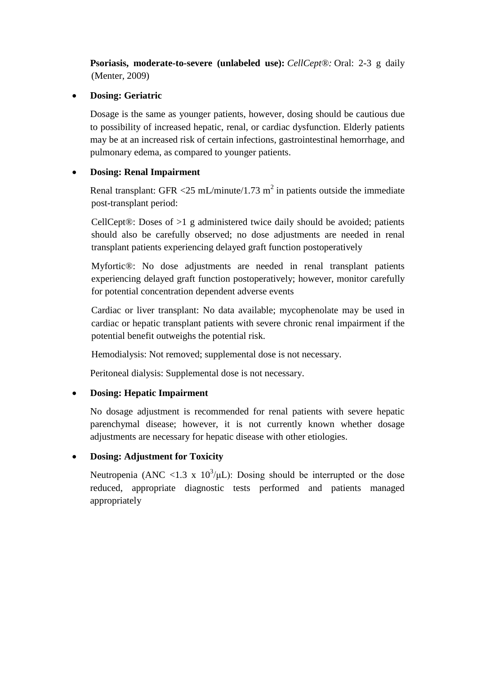**Psoriasis, moderate-to-severe (unlabeled use):** *CellCept®:* Oral: 2-3 g daily (Menter, 2009)

#### **Dosing: Geriatric**

Dosage is the same as younger patients, however, dosing should be cautious due to possibility of increased hepatic, renal, or cardiac dysfunction. Elderly patients may be at an increased risk of certain infections, gastrointestinal hemorrhage, and pulmonary edema, as compared to younger patients.

## **Dosing: Renal Impairment**

Renal transplant: GFR <25 mL/minute/1.73 m<sup>2</sup> in patients outside the immediate post-transplant period:

CellCept®: Doses of  $>1$  g administered twice daily should be avoided; patients should also be carefully observed; no dose adjustments are needed in renal transplant patients experiencing delayed graft function postoperatively

Myfortic®: No dose adjustments are needed in renal transplant patients experiencing delayed graft function postoperatively; however, monitor carefully for potential concentration dependent adverse events

Cardiac or liver transplant: No data available; mycophenolate may be used in cardiac or hepatic transplant patients with severe chronic renal impairment if the potential benefit outweighs the potential risk.

Hemodialysis: Not removed; supplemental dose is not necessary.

Peritoneal dialysis: Supplemental dose is not necessary.

## **Dosing: Hepatic Impairment**

No dosage adjustment is recommended for renal patients with severe hepatic parenchymal disease; however, it is not currently known whether dosage adjustments are necessary for hepatic disease with other etiologies.

# **Dosing: Adjustment for Toxicity**

Neutropenia (ANC <1.3 x  $10^3/\mu$ L): Dosing should be interrupted or the dose reduced, appropriate diagnostic tests performed and patients managed appropriately